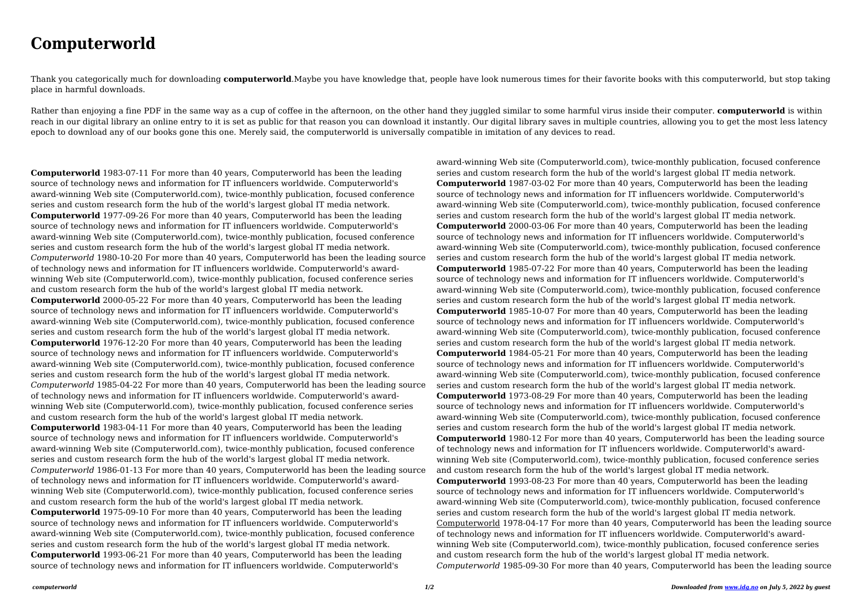## **Computerworld**

Thank you categorically much for downloading **computerworld**.Maybe you have knowledge that, people have look numerous times for their favorite books with this computerworld, but stop taking place in harmful downloads.

Rather than enjoying a fine PDF in the same way as a cup of coffee in the afternoon, on the other hand they juggled similar to some harmful virus inside their computer. **computerworld** is within reach in our digital library an online entry to it is set as public for that reason you can download it instantly. Our digital library saves in multiple countries, allowing you to get the most less latency epoch to download any of our books gone this one. Merely said, the computerworld is universally compatible in imitation of any devices to read.

**Computerworld** 1983-07-11 For more than 40 years, Computerworld has been the leading source of technology news and information for IT influencers worldwide. Computerworld's award-winning Web site (Computerworld.com), twice-monthly publication, focused conference series and custom research form the hub of the world's largest global IT media network. **Computerworld** 1977-09-26 For more than 40 years, Computerworld has been the leading source of technology news and information for IT influencers worldwide. Computerworld's award-winning Web site (Computerworld.com), twice-monthly publication, focused conference series and custom research form the hub of the world's largest global IT media network. *Computerworld* 1980-10-20 For more than 40 years, Computerworld has been the leading source of technology news and information for IT influencers worldwide. Computerworld's awardwinning Web site (Computerworld.com), twice-monthly publication, focused conference series and custom research form the hub of the world's largest global IT media network. **Computerworld** 2000-05-22 For more than 40 years, Computerworld has been the leading source of technology news and information for IT influencers worldwide. Computerworld's award-winning Web site (Computerworld.com), twice-monthly publication, focused conference series and custom research form the hub of the world's largest global IT media network. **Computerworld** 1976-12-20 For more than 40 years, Computerworld has been the leading source of technology news and information for IT influencers worldwide. Computerworld's award-winning Web site (Computerworld.com), twice-monthly publication, focused conference series and custom research form the hub of the world's largest global IT media network. *Computerworld* 1985-04-22 For more than 40 years, Computerworld has been the leading source of technology news and information for IT influencers worldwide. Computerworld's awardwinning Web site (Computerworld.com), twice-monthly publication, focused conference series and custom research form the hub of the world's largest global IT media network. **Computerworld** 1983-04-11 For more than 40 years, Computerworld has been the leading source of technology news and information for IT influencers worldwide. Computerworld's award-winning Web site (Computerworld.com), twice-monthly publication, focused conference series and custom research form the hub of the world's largest global IT media network. *Computerworld* 1986-01-13 For more than 40 years, Computerworld has been the leading source of technology news and information for IT influencers worldwide. Computerworld's awardwinning Web site (Computerworld.com), twice-monthly publication, focused conference series and custom research form the hub of the world's largest global IT media network. **Computerworld** 1975-09-10 For more than 40 years, Computerworld has been the leading source of technology news and information for IT influencers worldwide. Computerworld's award-winning Web site (Computerworld.com), twice-monthly publication, focused conference series and custom research form the hub of the world's largest global IT media network. **Computerworld** 1993-06-21 For more than 40 years, Computerworld has been the leading source of technology news and information for IT influencers worldwide. Computerworld's

award-winning Web site (Computerworld.com), twice-monthly publication, focused conference series and custom research form the hub of the world's largest global IT media network. **Computerworld** 1987-03-02 For more than 40 years, Computerworld has been the leading source of technology news and information for IT influencers worldwide. Computerworld's award-winning Web site (Computerworld.com), twice-monthly publication, focused conference series and custom research form the hub of the world's largest global IT media network. **Computerworld** 2000-03-06 For more than 40 years, Computerworld has been the leading source of technology news and information for IT influencers worldwide. Computerworld's award-winning Web site (Computerworld.com), twice-monthly publication, focused conference series and custom research form the hub of the world's largest global IT media network. **Computerworld** 1985-07-22 For more than 40 years, Computerworld has been the leading source of technology news and information for IT influencers worldwide. Computerworld's award-winning Web site (Computerworld.com), twice-monthly publication, focused conference series and custom research form the hub of the world's largest global IT media network. **Computerworld** 1985-10-07 For more than 40 years, Computerworld has been the leading source of technology news and information for IT influencers worldwide. Computerworld's award-winning Web site (Computerworld.com), twice-monthly publication, focused conference series and custom research form the hub of the world's largest global IT media network. **Computerworld** 1984-05-21 For more than 40 years, Computerworld has been the leading source of technology news and information for IT influencers worldwide. Computerworld's award-winning Web site (Computerworld.com), twice-monthly publication, focused conference series and custom research form the hub of the world's largest global IT media network. **Computerworld** 1973-08-29 For more than 40 years, Computerworld has been the leading source of technology news and information for IT influencers worldwide. Computerworld's award-winning Web site (Computerworld.com), twice-monthly publication, focused conference series and custom research form the hub of the world's largest global IT media network. **Computerworld** 1980-12 For more than 40 years, Computerworld has been the leading source of technology news and information for IT influencers worldwide. Computerworld's awardwinning Web site (Computerworld.com), twice-monthly publication, focused conference series and custom research form the hub of the world's largest global IT media network. **Computerworld** 1993-08-23 For more than 40 years, Computerworld has been the leading source of technology news and information for IT influencers worldwide. Computerworld's award-winning Web site (Computerworld.com), twice-monthly publication, focused conference series and custom research form the hub of the world's largest global IT media network. Computerworld 1978-04-17 For more than 40 years, Computerworld has been the leading source of technology news and information for IT influencers worldwide. Computerworld's awardwinning Web site (Computerworld.com), twice-monthly publication, focused conference series and custom research form the hub of the world's largest global IT media network. *Computerworld* 1985-09-30 For more than 40 years, Computerworld has been the leading source